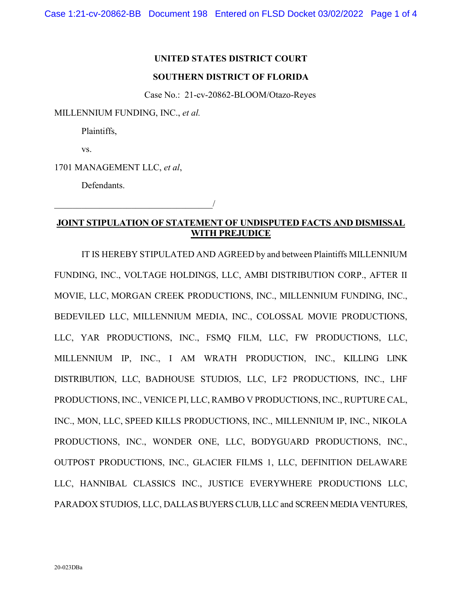## **UNITED STATES DISTRICT COURT**

## **SOUTHERN DISTRICT OF FLORIDA**

Case No.: 21-cv-20862-BLOOM/Otazo-Reyes

MILLENNIUM FUNDING, INC., *et al.*

Plaintiffs,

vs.

1701 MANAGEMENT LLC, *et al*,

 $\overline{\phantom{a}}$ 

Defendants.

## **JOINT STIPULATION OF STATEMENT OF UNDISPUTED FACTS AND DISMISSAL WITH PREJUDICE**

IT IS HEREBY STIPULATED AND AGREED by and between Plaintiffs MILLENNIUM FUNDING, INC., VOLTAGE HOLDINGS, LLC, AMBI DISTRIBUTION CORP., AFTER II MOVIE, LLC, MORGAN CREEK PRODUCTIONS, INC., MILLENNIUM FUNDING, INC., BEDEVILED LLC, MILLENNIUM MEDIA, INC., COLOSSAL MOVIE PRODUCTIONS, LLC, YAR PRODUCTIONS, INC., FSMQ FILM, LLC, FW PRODUCTIONS, LLC, MILLENNIUM IP, INC., I AM WRATH PRODUCTION, INC., KILLING LINK DISTRIBUTION, LLC, BADHOUSE STUDIOS, LLC, LF2 PRODUCTIONS, INC., LHF PRODUCTIONS, INC., VENICE PI, LLC, RAMBO V PRODUCTIONS, INC., RUPTURE CAL, INC., MON, LLC, SPEED KILLS PRODUCTIONS, INC., MILLENNIUM IP, INC., NIKOLA PRODUCTIONS, INC., WONDER ONE, LLC, BODYGUARD PRODUCTIONS, INC., OUTPOST PRODUCTIONS, INC., GLACIER FILMS 1, LLC, DEFINITION DELAWARE LLC, HANNIBAL CLASSICS INC., JUSTICE EVERYWHERE PRODUCTIONS LLC, PARADOX STUDIOS, LLC, DALLAS BUYERS CLUB, LLC and SCREEN MEDIA VENTURES,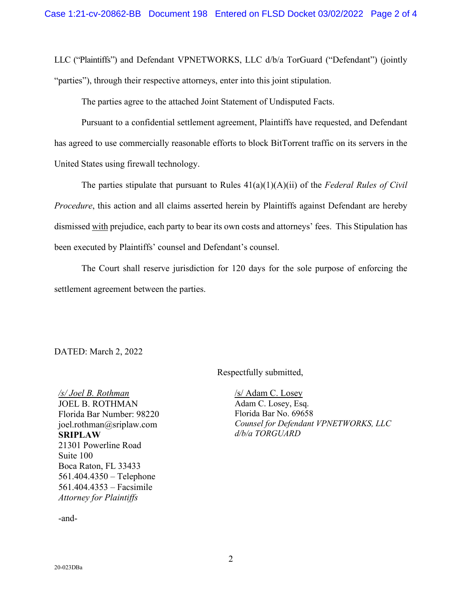LLC ("Plaintiffs") and Defendant VPNETWORKS, LLC d/b/a TorGuard ("Defendant") (jointly "parties"), through their respective attorneys, enter into this joint stipulation.

The parties agree to the attached Joint Statement of Undisputed Facts.

Pursuant to a confidential settlement agreement, Plaintiffs have requested, and Defendant has agreed to use commercially reasonable efforts to block BitTorrent traffic on its servers in the United States using firewall technology.

The parties stipulate that pursuant to Rules 41(a)(1)(A)(ii) of the *Federal Rules of Civil Procedure*, this action and all claims asserted herein by Plaintiffs against Defendant are hereby dismissed with prejudice, each party to bear its own costs and attorneys' fees. This Stipulation has been executed by Plaintiffs' counsel and Defendant's counsel.

The Court shall reserve jurisdiction for 120 days for the sole purpose of enforcing the settlement agreement between the parties.

DATED: March 2, 2022

Respectfully submitted,

*/s/ Joel B. Rothman* JOEL B. ROTHMAN Florida Bar Number: 98220 joel.rothman@sriplaw.com **SRIPLAW** 21301 Powerline Road Suite 100 Boca Raton, FL 33433 561.404.4350 – Telephone 561.404.4353 – Facsimile *Attorney for Plaintiffs*

/s/ Adam C. Losey Adam C. Losey, Esq. Florida Bar No. 69658 *Counsel for Defendant VPNETWORKS, LLC d/b/a TORGUARD*

-and-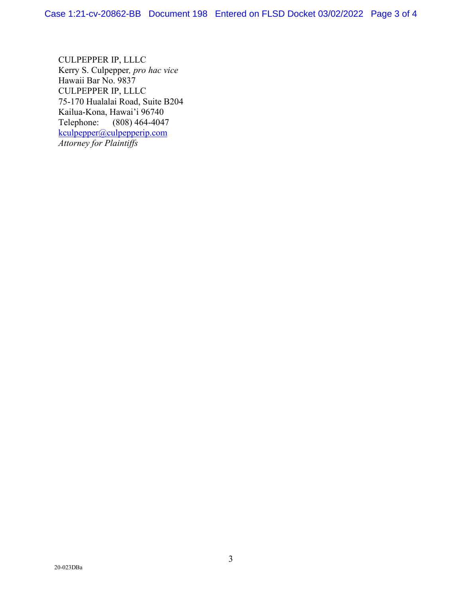CULPEPPER IP, LLLC Kerry S. Culpepper*, pro hac vice*  Hawaii Bar No. 9837 CULPEPPER IP, LLLC 75-170 Hualalai Road, Suite B204 Kailua-Kona, Hawai'i 96740 Telephone: (808) 464-4047 [kculpepper@culpepperip.com](mailto:kculpepper@culpepperip.com) *Attorney for Plaintiffs*